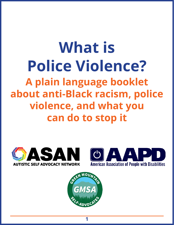# **What is Police Violence? A plain language booklet about anti-Black racism, police violence, and what you can do to stop it**







**1**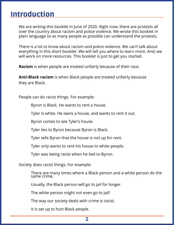## Introduction

We are writing this booklet in June of 2020. Right now, there are protests all over the country about racism and police violence. We wrote this booklet in plain language so as many people as possible can understand the protests.

There is a lot to know about racism and police violence. We can't talk about everything in this short booklet. We will tell you where to learn more. And, we will work on more resources. This booklet is just to get you started.

**Racism** is when people are treated unfairly because of their race.

**Anti-Black racism** is when Black people are treated unfairly because they are Black.

People can do racist things. For example:

Byron is Black. He wants to rent a house.

Tyler is white. He owns a house, and wants to rent it out.

Byron comes to see Tyler's house.

Tyler lies to Byron because Byron is Black.

Tyler tells Byron that the house is not up for rent.

Tyler only wants to rent his house to white people.

Tyler was being racist when he lied to Byron.

Society does racist things. For example:

There are many times where a Black person and a white person do the same crime.

Usually, the Black person will go to jail for longer.

The white person might not even go to jail!

The way our society deals with crime is racist.

It is set up to hurt Black people.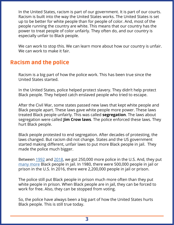In the United States, racism is part of our government. It is part of our courts. Racism is built into the way the United States works. The United States is set up to be better for white people than for people of color. And, most of the people running the country are white. This means that our country has the power to treat people of color unfairly. They often do, and our country is especially unfair to Black people.

We can work to stop this. We can learn more about how our country is unfair. We can work to make it fair.

#### Racism and the police

Racism is a big part of how the police work. This has been true since the United States started.

In the United States, police helped protect slavery. They didn't help protect Black people. They helped catch enslaved people who tried to escape.

After the Civil War, some states passed new laws that kept white people and Black people apart. These laws gave white people more power. These laws treated Black people unfairly. This was called **segregation**. The laws about segregation were called **Jim Crow laws**. The police enforced these laws. They hurt Black people.

Black people protested to end segregation. After decades of protesting, the laws changed. But racism did not change. States and the US government started making different, unfair laws to put more Black people in jail. They made the police much bigger.

Between [1992](https://www.hsdl.org/?view&did=792292) and [2018,](https://ucr.fbi.gov/crime-in-the-u.s/2018/crime-in-the-u.s.-2018/tables/table-74) we got 250,000 more police in the U.S. And, they put [many more](https://sentencingproject.org/wp-content/uploads/2016/01/Trends-in-US-Corrections.pdf) Black people in jail. In 1980, there were 500,000 people in jail or prison in the U.S. In 2016, there were 2,200,000 people in jail or prison.

The police still put Black people in prison much more often than they put white people in prison. When Black people are in jail, they can be forced to work for free. Also, they can be stopped from voting.

So, the police have always been a big part of how the United States hurts Black people. This is still true today.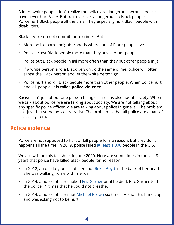A lot of white people don't realize the police are dangerous because police have never hurt *them*. But police are very dangerous to Black people. Police hurt Black people all the time. They especially hurt Black people with disabilities.

Black people do not commit more crimes. But:

- More police patrol neighborhoods where lots of Black people live.
- Police arrest Black people more than they arrest other people.
- Police put Black people in jail more often than they put other people in jail.
- If a white person and a Black person do the same crime, police will often arrest the Black person and let the white person go.
- Police hurt and kill Black people more than other people. When police hurt and kill people, it is called **police violence.**

Racism isn't just about one person being unfair. It is also about society. When we talk about police, we are talking about society. We are not talking about any specific police officer. We are talking about police in general. The problem isn't just that some police are racist. The problem is that all police are a part of a racist system.

#### Police violence

Police are not supposed to hurt or kill people for no reason. But they do. It happens all the time. In 2019, police killed [at least 1,000](https://www.washingtonpost.com/graphics/2019/national/police-shootings-2019/) people in the U.S.

We are writing this factsheet in June 2020. Here are some times in the last 8 years that police have killed Black people for no reason:

- In 2012, an off-duty police officer shot [Rekia Boyd](https://abc7chicago.com/dante-servin-chicago-cop-rekia-boyd-not-guilty/672864/) in the back of her head. She was walking home with friends.
- In 2014, a police officer choked **Eric Garner** until he died. [Eric Garner](https://www.nytimes.com/2019/07/16/nyregion/eric-garner-case-death-daniel-pantaleo.html) told the police 11 times that he could not breathe.
- In 2014, a police officer shot [Michael Brown](https://www.theguardian.com/world/2014/sep/13/ferguson-video-shows-michael-brown-hands-raised) six times. He had his hands up and was asking not to be hurt.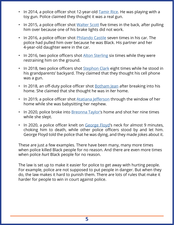- In 2014, a police officer shot 12-year-old [Tamir Rice](https://www.nytimes.com/2015/01/23/us/in-tamir-rice-shooting-in-cleveland-many-errors-by-police-then-a-fatal-one.html). He was playing with a toy gun. Police claimed they thought it was a real gun.
- In 2015, a police officer shot [Walter Scott](https://www.nytimes.com/2015/04/08/us/south-carolina-officer-is-charged-with-murder-in-black-mans-death.html) five times in the back, after pulling him over because one of his brake lights did not work.
- In 2016, a police officer shot [Philando Castile](https://www.vox.com/2016/7/7/12116288/minnesota-police-shooting-philando-castile-falcon-heights-video) seven times in his car. The police had pulled him over because he was Black. His partner and her 4-year-old daughter were in the car.
- In 2016, two police officers shot **[Alton Sterling](https://www.cnn.com/2019/08/01/us/alton-sterling-baton-rouge-police/index.html) six times while they were** restraining him on the ground.
- In 2018, two police officers shot **[Stephon Clark](https://www.theroot.com/stephonclark-one-year-later-there-is-still-no-justic-1833370990) eight times while he stood in** his grandparents' backyard. They claimed that they thought his cell phone was a gun.
- In 2018, an off-duty police officer shot **[Botham Jean](https://www.nbcnews.com/news/us-news/dallas-officer-enters-apartment-she-mistakes-her-own-fatally-shoots-n907411) after breaking into his** home. She claimed that she thought he was in *her* home.
- In 2019, a police officer shot **[Atatiana Jefferson](https://www.theroot.com/forth-worth-officer-indicted-on-murder-charge-for-fatal-1840563938)** through the window of her home while she was babysitting her nephew.
- In 2020, police broke into **Breonna Taylor's home and shot her nine times** while she slept.
- In 2020, a police officer knelt on [George Floyd](https://www.nytimes.com/2020/05/31/us/george-floyd-investigation.html)'s neck for almost 9 minutes, choking him to death, while other police officers stood by and let him. George Floyd told the police that he was dying, and they made jokes about it.

These are just a few examples. There have been many, many more times when police killed Black people for no reason. And there are even more times when police *hurt* Black people for no reason.

The law is set up to make it easier for police to get away with hurting people. For example, police are not supposed to put people in danger. But when they do, the law makes it hard to punish them. There are lots of rules that make it harder for people to win in court against police.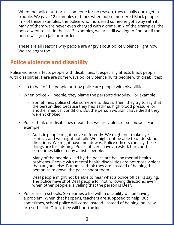When the police hurt or kill someone for no reason, they usually don't get in trouble. We gave 12 examples of times when police murdered Black people. In 7 of these examples, the police who murdered someone got away with it. Many of them were never even charged with a crime. In 2 of the examples, the police went to jail. In the last 3 examples, we are still waiting to find out if the police will go to jail for murder.

These are all reasons why people are angry about police violence right now. We are angry too.

## Police violence and disability

Police violence affects people with disabilities. It especially affects Black people with disabilities. Here are some ways police violence hurts people with disabilities:

- Up to half of the people hurt by police are people with disabilities.
- When police kill people, they blame the person's disability. For example:
	- Sometimes, police choke someone to death. Then, they try to say that the person died because they had asthma, high blood pressure, or another medical condition. But the person wouldn't have died if they weren't choked.
- Police think our disabilities mean that we are violent or suspicious. For example:
	- Autistic people might move differently. We might not make eye contact, and we might not talk. We might not be able to understand directions. We might have meltdowns. Police officers can say these things are threatening. Police officers have arrested, hurt, and sometimes killed many autistic people.
	- Many of the people killed by the police are having mental health problems. People with mental health disabilities are not more violent than anyone else. But police think they are. Instead of helping the person calm down, the police shoot them.
	- Deaf people might not be able to hear what a police officer is saying. The police have shot Deaf people for not following directions, even when other people are yelling that the person is Deaf.
- Police are in schools. Sometimes a kid with a disability will be having a problem. When that happens, teachers are supposed to help. But sometimes, school police will come instead. Instead of helping, police will arrest the kid. Often, they will hurt the kid.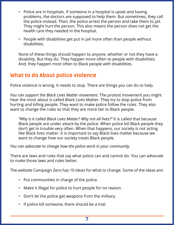- Police are in hospitals. If someone in a hospital is upset and having problems, the doctors are supposed to help them. But sometimes, they call the police instead. Then, the police arrest the person and take them to jail. They might hurt the person. This also means the person does not get the health care they needed in the hospital.
- People with disabilities get put in jail more often than people without disabilities.

None of these things should happen to anyone, whether or not they have a disability. But they do. They happen more often to people with disabilities. And, they happen most often to Black people with disabilities.

## What to do About police violence

Police violence is wrong. It needs to stop. There are things you can do to help.

*You can support the Black Lives Matter movement.* The protest movement you might hear the most about is called Black Lives Matter. They try to stop police from hurting and killing people. They want to make police follow the rules. They also want to change the rules so that they are more fair to Black people.

*"Why is it called Black Lives Matter? Why not all lives?"* It is called that because Black people are under attack by the police. When police kill Black people they don't get in trouble very often. When that happens, our society is not acting like Black lives matter. It is important to say Black lives matter because we want to change how our society treats Black people.

*You can advocate to change how the police work in your community.*

There are laws and rules that say what police can and cannot do. You can advocate to make those laws and rules better.

The website Campaign Zero has 10 ideas for what to change. Some of the ideas are:

- Put communities in charge of the police.
- Make it illegal for police to hurt people for no reason.
- Don't let the police get weapons from the military.
- If police kill someone, there should be a trial.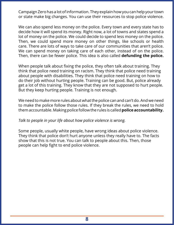Campaign Zero has a lot of information. They explain how you can help your town or state make big changes. You can use their resources to stop police violence.

We can also spend less money on the police. Every town and every state has to decide how it will spend its money. Right now, a lot of towns and states spend a lot of money on the police. We could decide to spend less money on the police. Then, we could spend more money on other things, like schools or health care. There are lots of ways to take care of our communities that aren't police. We can spend money on taking care of each other, instead of on the police. Then, there can be fewer police. This idea is also called **defunding the police.**

When people talk about fixing the police, they often talk about training. They think that police need training on racism. They think that police need training about people with disabilities. They think that police need training on how to do their job without hurting people. Training can be good. But, police already get a lot of this training. They know that they are not supposed to hurt people. But they keep hurting people. Training is not enough.

We need to make more rules about what the police can and can't do. And we need to make the police follow those rules. If they break the rules, we need to hold them accountable. Making police follow the rules is called **police accountability.**

#### *Talk to people in your life about how police violence is wrong.*

Some people, usually white people, have wrong ideas about police violence. They think that police don't hurt anyone unless they really have to. The facts show that this is not true. You can talk to people about this. Then, those people can help fight to end police violence.